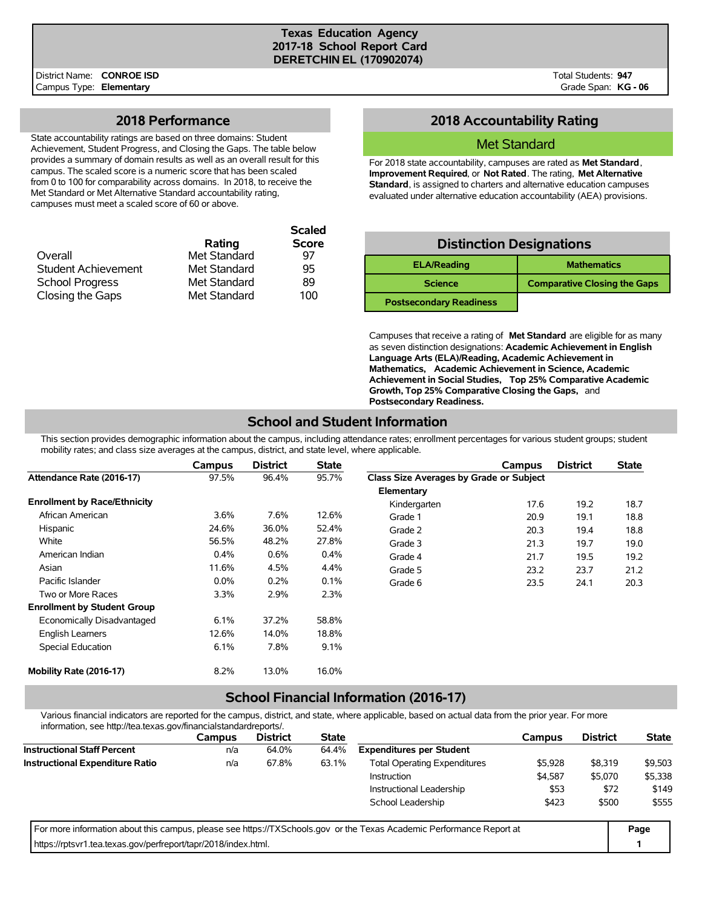#### **Texas Education Agency 2017-18 School Report Card DERETCHIN EL (170902074)**

**Scaled**

#### **2018 Performance**

State accountability ratings are based on three domains: Student Achievement, Student Progress, and Closing the Gaps. The table below provides a summary of domain results as well as an overall result for this campus. The scaled score is a numeric score that has been scaled from 0 to 100 for comparability across domains. In 2018, to receive the Met Standard or Met Alternative Standard accountability rating, campuses must meet a scaled score of 60 or above.

|              | Scaled       |
|--------------|--------------|
| Rating       | <b>Score</b> |
| Met Standard | 97           |
| Met Standard | 95           |
| Met Standard | 89           |
| Met Standard | 100          |
|              |              |

### **2018 Accountability Rating**

#### Met Standard

For 2018 state accountability, campuses are rated as **Met Standard**, **Improvement Required**, or **Not Rated**. The rating, **Met Alternative Standard**, is assigned to charters and alternative education campuses evaluated under alternative education accountability (AEA) provisions.

| <b>Distinction Designations</b> |                                     |  |  |  |  |  |  |  |
|---------------------------------|-------------------------------------|--|--|--|--|--|--|--|
| <b>ELA/Reading</b>              | <b>Mathematics</b>                  |  |  |  |  |  |  |  |
| <b>Science</b>                  | <b>Comparative Closing the Gaps</b> |  |  |  |  |  |  |  |
| <b>Postsecondary Readiness</b>  |                                     |  |  |  |  |  |  |  |

Campuses that receive a rating of **Met Standard** are eligible for as many as seven distinction designations: **Academic Achievement in English Language Arts (ELA)/Reading, Academic Achievement in Mathematics, Academic Achievement in Science, Academic Achievement in Social Studies, Top 25% Comparative Academic Growth, Top 25% Comparative Closing the Gaps,** and **Postsecondary Readiness.**

### **School and Student Information**

This section provides demographic information about the campus, including attendance rates; enrollment percentages for various student groups; student mobility rates; and class size averages at the campus, district, and state level, where applicable.

|                                     | Campus  | <b>District</b> | <b>State</b> |                                         | Campus | <b>District</b> | <b>State</b> |
|-------------------------------------|---------|-----------------|--------------|-----------------------------------------|--------|-----------------|--------------|
| Attendance Rate (2016-17)           | 97.5%   | 96.4%           | 95.7%        | Class Size Averages by Grade or Subject |        |                 |              |
|                                     |         |                 |              | Elementary                              |        |                 |              |
| <b>Enrollment by Race/Ethnicity</b> |         |                 |              | Kindergarten                            | 17.6   | 19.2            | 18.7         |
| African American                    | 3.6%    | 7.6%            | 12.6%        | Grade 1                                 | 20.9   | 19.1            | 18.8         |
| Hispanic                            | 24.6%   | 36.0%           | 52.4%        | Grade 2                                 | 20.3   | 19.4            | 18.8         |
| White                               | 56.5%   | 48.2%           | 27.8%        | Grade 3                                 | 21.3   | 19.7            | 19.0         |
| American Indian                     | 0.4%    | 0.6%            | $0.4\%$      | Grade 4                                 | 21.7   | 19.5            | 19.2         |
| Asian                               | 11.6%   | 4.5%            | 4.4%         | Grade 5                                 | 23.2   | 23.7            | 21.2         |
| Pacific Islander                    | $0.0\%$ | 0.2%            | 0.1%         | Grade 6                                 | 23.5   | 24.1            | 20.3         |
| Two or More Races                   | 3.3%    | 2.9%            | 2.3%         |                                         |        |                 |              |
| <b>Enrollment by Student Group</b>  |         |                 |              |                                         |        |                 |              |
| Economically Disadvantaged          | 6.1%    | 37.2%           | 58.8%        |                                         |        |                 |              |
| <b>English Learners</b>             | 12.6%   | 14.0%           | 18.8%        |                                         |        |                 |              |
| Special Education                   | 6.1%    | 7.8%            | 9.1%         |                                         |        |                 |              |
| Mobility Rate (2016-17)             | 8.2%    | 13.0%           | 16.0%        |                                         |        |                 |              |

### **School Financial Information (2016-17)**

Various financial indicators are reported for the campus, district, and state, where applicable, based on actual data from the prior year. For more information, see http://tea.texas.gov/financialstandardreports/.

| illioilliauvil, see liiup.//tea.texas.gov/illialiciaistalidalulepolts/. |        |                 |              |                                                                                                                      |         |                 |              |
|-------------------------------------------------------------------------|--------|-----------------|--------------|----------------------------------------------------------------------------------------------------------------------|---------|-----------------|--------------|
|                                                                         | Campus | <b>District</b> | <b>State</b> |                                                                                                                      | Campus  | <b>District</b> | <b>State</b> |
| <b>Instructional Staff Percent</b>                                      | n/a    | 64.0%           | 64.4%        | <b>Expenditures per Student</b>                                                                                      |         |                 |              |
| <b>Instructional Expenditure Ratio</b>                                  | n/a    | 67.8%           | 63.1%        | <b>Total Operating Expenditures</b>                                                                                  | \$5.928 | \$8.319         | \$9,503      |
|                                                                         |        |                 |              | Instruction                                                                                                          | \$4,587 | \$5.070         | \$5,338      |
|                                                                         |        |                 |              | Instructional Leadership                                                                                             | \$53    | \$72            | \$149        |
|                                                                         |        |                 |              | School Leadership                                                                                                    | \$423   | \$500           | \$555        |
|                                                                         |        |                 |              | For more information about this campus, please see https://TXSchools.gov or the Texas Academic Performance Report at |         |                 | Page         |
| https://rptsvr1.tea.texas.gov/perfreport/tapr/2018/index.html.          |        |                 |              |                                                                                                                      |         |                 |              |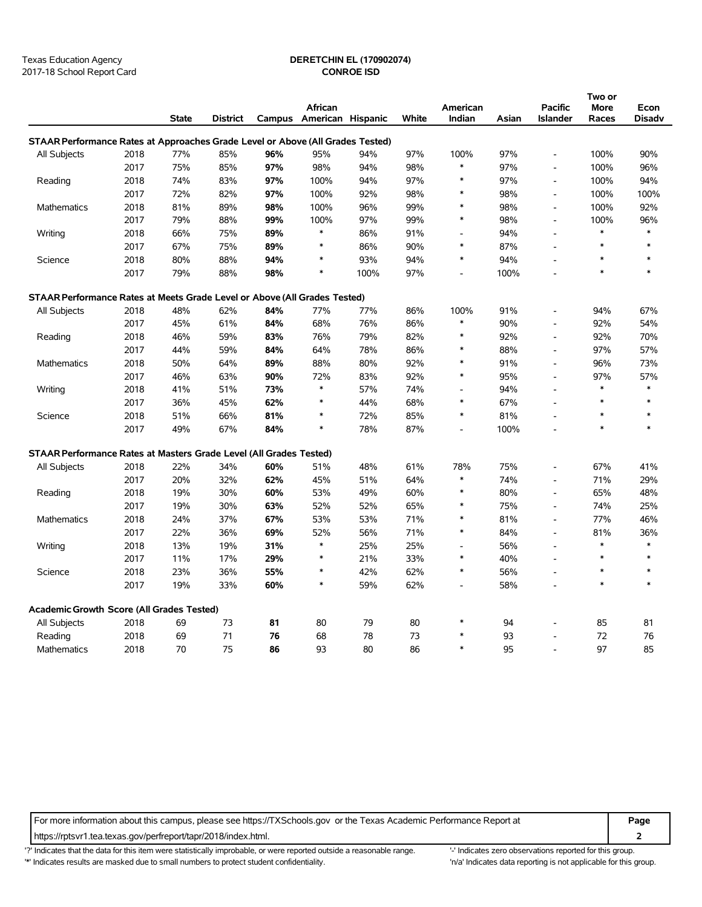2017-18 School Report Card **CONROE ISD**

### Texas Education Agency **DERETCHIN EL (170902074)**

|                                                                                |      |              |                 |     |                          |      |       |                          | Two or |                          |              |               |  |
|--------------------------------------------------------------------------------|------|--------------|-----------------|-----|--------------------------|------|-------|--------------------------|--------|--------------------------|--------------|---------------|--|
|                                                                                |      |              |                 |     | African                  |      |       | American                 |        | <b>Pacific</b>           | More         | Econ          |  |
|                                                                                |      | <b>State</b> | <b>District</b> |     | Campus American Hispanic |      | White | Indian                   | Asian  | <b>Islander</b>          | Races        | <b>Disadv</b> |  |
| STAAR Performance Rates at Approaches Grade Level or Above (All Grades Tested) |      |              |                 |     |                          |      |       |                          |        |                          |              |               |  |
| All Subjects                                                                   | 2018 | 77%          | 85%             | 96% | 95%                      | 94%  | 97%   | 100%                     | 97%    | $\overline{a}$           | 100%         | 90%           |  |
|                                                                                | 2017 | 75%          | 85%             | 97% | 98%                      | 94%  | 98%   | $\ast$                   | 97%    | L,                       | 100%         | 96%           |  |
| Reading                                                                        | 2018 | 74%          | 83%             | 97% | 100%                     | 94%  | 97%   | $\ast$                   | 97%    | $\overline{a}$           | 100%         | 94%           |  |
|                                                                                | 2017 | 72%          | 82%             | 97% | 100%                     | 92%  | 98%   | $\ast$                   | 98%    | $\overline{a}$           | 100%         | 100%          |  |
| Mathematics                                                                    | 2018 | 81%          | 89%             | 98% | 100%                     | 96%  | 99%   | $\ast$                   | 98%    | $\overline{\phantom{a}}$ | 100%         | 92%           |  |
|                                                                                | 2017 | 79%          | 88%             | 99% | 100%                     | 97%  | 99%   | $\ast$                   | 98%    | $\overline{a}$           | 100%         | 96%           |  |
| Writing                                                                        | 2018 | 66%          | 75%             | 89% | $\ast$                   | 86%  | 91%   | $\overline{a}$           | 94%    | $\overline{a}$           | $\ast$       | $\ast$        |  |
|                                                                                | 2017 | 67%          | 75%             | 89% |                          | 86%  | 90%   | $\ast$                   | 87%    |                          | $\ast$       |               |  |
| Science                                                                        | 2018 | 80%          | 88%             | 94% | *                        | 93%  | 94%   | $\ast$                   | 94%    |                          | $\ast$       | $\ast$        |  |
|                                                                                | 2017 | 79%          | 88%             | 98% | $\ast$                   | 100% | 97%   | $\overline{\phantom{a}}$ | 100%   |                          | $\ast$       | $\ast$        |  |
| STAAR Performance Rates at Meets Grade Level or Above (All Grades Tested)      |      |              |                 |     |                          |      |       |                          |        |                          |              |               |  |
| All Subjects                                                                   | 2018 | 48%          | 62%             | 84% | 77%                      | 77%  | 86%   | 100%                     | 91%    |                          | 94%          | 67%           |  |
|                                                                                | 2017 | 45%          | 61%             | 84% | 68%                      | 76%  | 86%   | $\ast$                   | 90%    | $\overline{\phantom{a}}$ | 92%          | 54%           |  |
| Reading                                                                        | 2018 | 46%          | 59%             | 83% | 76%                      | 79%  | 82%   | $\ast$                   | 92%    | $\overline{a}$           | 92%          | 70%           |  |
|                                                                                | 2017 | 44%          | 59%             | 84% | 64%                      | 78%  | 86%   | $\ast$                   | 88%    | $\blacksquare$           | 97%          | 57%           |  |
| Mathematics                                                                    | 2018 | 50%          | 64%             | 89% | 88%                      | 80%  | 92%   | $\ast$                   | 91%    | $\overline{a}$           | 96%          | 73%           |  |
|                                                                                | 2017 | 46%          | 63%             | 90% | 72%                      | 83%  | 92%   | $\ast$                   | 95%    | L,                       | 97%          | 57%           |  |
| Writing                                                                        | 2018 | 41%          | 51%             | 73% | $\ast$                   | 57%  | 74%   | $\overline{\phantom{a}}$ | 94%    |                          | $\pmb{\ast}$ | $\ast$        |  |
|                                                                                | 2017 | 36%          | 45%             | 62% | $\ast$                   | 44%  | 68%   | $\ast$                   | 67%    |                          | $\ast$       | $\ast$        |  |
| Science                                                                        | 2018 | 51%          | 66%             | 81% | $\ast$                   | 72%  | 85%   | $\ast$                   | 81%    |                          | $\ast$       | $\ast$        |  |
|                                                                                | 2017 | 49%          | 67%             | 84% | $\ast$                   | 78%  | 87%   | $\overline{a}$           | 100%   |                          | $\ast$       | $\ast$        |  |
| STAAR Performance Rates at Masters Grade Level (All Grades Tested)             |      |              |                 |     |                          |      |       |                          |        |                          |              |               |  |
| All Subjects                                                                   | 2018 | 22%          | 34%             | 60% | 51%                      | 48%  | 61%   | 78%                      | 75%    |                          | 67%          | 41%           |  |
|                                                                                | 2017 | 20%          | 32%             | 62% | 45%                      | 51%  | 64%   | $\ast$                   | 74%    | $\overline{\phantom{a}}$ | 71%          | 29%           |  |
| Reading                                                                        | 2018 | 19%          | 30%             | 60% | 53%                      | 49%  | 60%   | $\ast$                   | 80%    | L,                       | 65%          | 48%           |  |
|                                                                                | 2017 | 19%          | 30%             | 63% | 52%                      | 52%  | 65%   | $\ast$                   | 75%    | $\overline{\phantom{a}}$ | 74%          | 25%           |  |
| Mathematics                                                                    | 2018 | 24%          | 37%             | 67% | 53%                      | 53%  | 71%   | $\ast$                   | 81%    | $\overline{\phantom{a}}$ | 77%          | 46%           |  |
|                                                                                | 2017 | 22%          | 36%             | 69% | 52%                      | 56%  | 71%   | $\ast$                   | 84%    | $\overline{\phantom{a}}$ | 81%          | 36%           |  |
| Writing                                                                        | 2018 | 13%          | 19%             | 31% | $\ast$                   | 25%  | 25%   |                          | 56%    |                          | $\ast$       | $\ast$        |  |
|                                                                                | 2017 | 11%          | 17%             | 29% | $\ast$                   | 21%  | 33%   | $\ast$                   | 40%    |                          | $\ast$       | $\ast$        |  |
| Science                                                                        | 2018 | 23%          | 36%             | 55% | *                        | 42%  | 62%   | $\ast$                   | 56%    |                          | $\ast$       | $\ast$        |  |
|                                                                                | 2017 | 19%          | 33%             | 60% | $\ast$                   | 59%  | 62%   | $\overline{\phantom{a}}$ | 58%    |                          | $\ast$       | $\ast$        |  |
| Academic Growth Score (All Grades Tested)                                      |      |              |                 |     |                          |      |       |                          |        |                          |              |               |  |
| All Subjects                                                                   | 2018 | 69           | 73              | 81  | 80                       | 79   | 80    | *                        | 94     |                          | 85           | 81            |  |
| Reading                                                                        | 2018 | 69           | 71              | 76  | 68                       | 78   | 73    | $\ast$                   | 93     |                          | 72           | 76            |  |
| Mathematics                                                                    | 2018 | 70           | 75              | 86  | 93                       | 80   | 86    | $\ast$                   | 95     |                          | 97           | 85            |  |

For more information about this campus, please see https://TXSchools.gov or the Texas Academic Performance Report at **Page** https://rptsvr1.tea.texas.gov/perfreport/tapr/2018/index.html. **2**

'?' Indicates that the data for this item were statistically improbable, or were reported outside a reasonable range. "Indicates zero observations reported for this group. '\*' Indicates results are masked due to small numbers to protect student confidentiality. 'n/a' Indicates data reporting is not applicable for this group.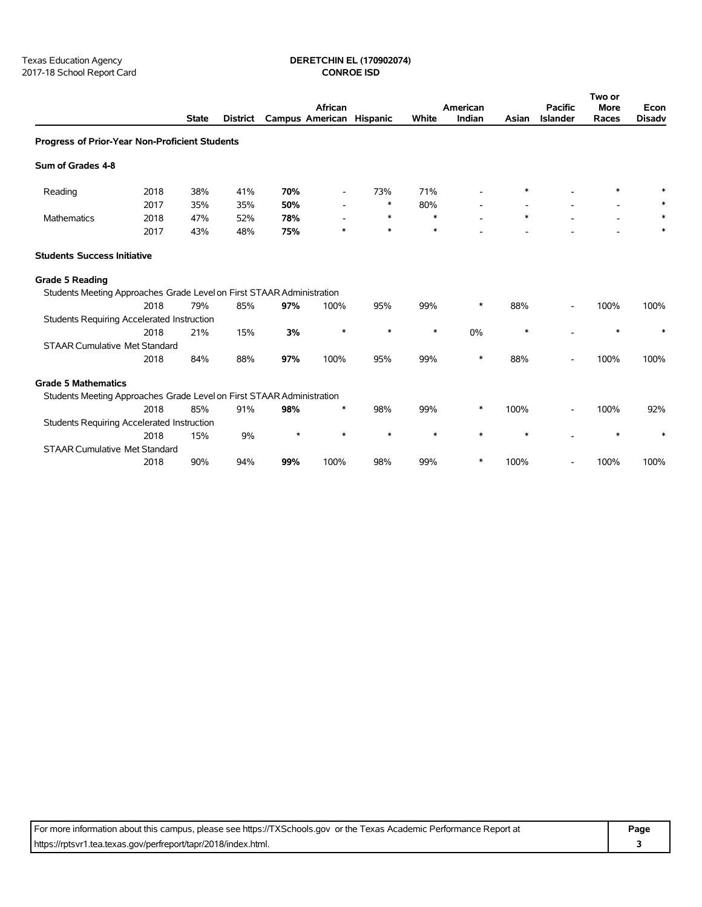## Texas Education Agency **DERETCHIN EL (170902074)**

|                                                                       |      |              |          |                          | African                  |        |        | American |        | <b>Pacific</b>  | Two or<br><b>More</b> | Econ          |
|-----------------------------------------------------------------------|------|--------------|----------|--------------------------|--------------------------|--------|--------|----------|--------|-----------------|-----------------------|---------------|
|                                                                       |      | <b>State</b> | District | Campus American Hispanic |                          |        | White  | Indian   | Asian  | <b>Islander</b> | Races                 | <b>Disadv</b> |
| Progress of Prior-Year Non-Proficient Students                        |      |              |          |                          |                          |        |        |          |        |                 |                       |               |
| Sum of Grades 4-8                                                     |      |              |          |                          |                          |        |        |          |        |                 |                       |               |
| Reading                                                               | 2018 | 38%          | 41%      | 70%                      | $\overline{\phantom{a}}$ | 73%    | 71%    |          | ∗      |                 | $\ast$                |               |
|                                                                       | 2017 | 35%          | 35%      | 50%                      |                          | $\ast$ | 80%    |          |        |                 |                       |               |
| Mathematics                                                           | 2018 | 47%          | 52%      | 78%                      |                          | ∗      | ∗      |          | $\ast$ |                 |                       |               |
|                                                                       | 2017 | 43%          | 48%      | 75%                      | *                        | $\ast$ | $\ast$ |          |        |                 |                       |               |
| <b>Students Success Initiative</b>                                    |      |              |          |                          |                          |        |        |          |        |                 |                       |               |
| <b>Grade 5 Reading</b>                                                |      |              |          |                          |                          |        |        |          |        |                 |                       |               |
| Students Meeting Approaches Grade Level on First STAAR Administration |      |              |          |                          |                          |        |        |          |        |                 |                       |               |
|                                                                       | 2018 | 79%          | 85%      | 97%                      | 100%                     | 95%    | 99%    | $\ast$   | 88%    |                 | 100%                  | 100%          |
| <b>Students Requiring Accelerated Instruction</b>                     |      |              |          |                          |                          |        |        |          |        |                 |                       |               |
|                                                                       | 2018 | 21%          | 15%      | 3%                       | $\ast$                   | $\ast$ | $\ast$ | 0%       | $\ast$ |                 | $\ast$                | $\ast$        |
| <b>STAAR Cumulative Met Standard</b>                                  |      |              |          |                          |                          |        |        |          |        |                 |                       |               |
|                                                                       | 2018 | 84%          | 88%      | 97%                      | 100%                     | 95%    | 99%    | *        | 88%    |                 | 100%                  | 100%          |
| <b>Grade 5 Mathematics</b>                                            |      |              |          |                          |                          |        |        |          |        |                 |                       |               |
| Students Meeting Approaches Grade Level on First STAAR Administration |      |              |          |                          |                          |        |        |          |        |                 |                       |               |
|                                                                       | 2018 | 85%          | 91%      | 98%                      | $\ast$                   | 98%    | 99%    | *        | 100%   |                 | 100%                  | 92%           |
| <b>Students Requiring Accelerated Instruction</b>                     |      |              |          |                          |                          |        |        |          |        |                 |                       |               |
|                                                                       | 2018 | 15%          | 9%       | $\star$                  | $\ast$                   | *      | $\ast$ | $\ast$   | $\ast$ |                 | $\ast$                |               |
| <b>STAAR Cumulative Met Standard</b>                                  |      |              |          |                          |                          |        |        |          |        |                 |                       |               |
|                                                                       | 2018 | 90%          | 94%      | 99%                      | 100%                     | 98%    | 99%    | $\ast$   | 100%   |                 | 100%                  | 100%          |

For more information about this campus, please see https://TXSchools.gov or the Texas Academic Performance Report at **Page** https://rptsvr1.tea.texas.gov/perfreport/tapr/2018/index.html. **3**